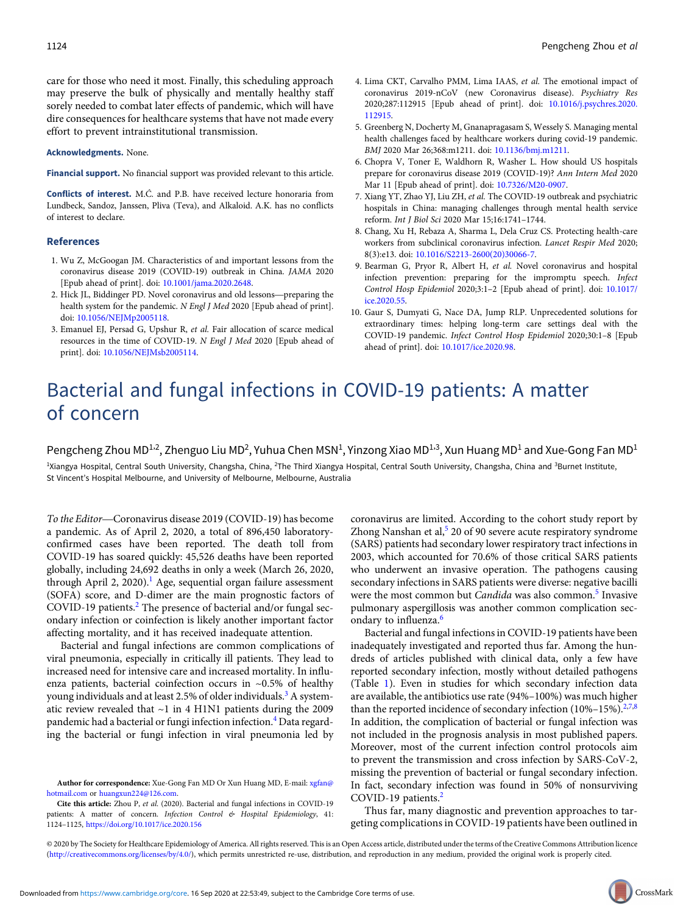care for those who need it most. Finally, this scheduling approach may preserve the bulk of physically and mentally healthy staff sorely needed to combat later effects of pandemic, which will have dire consequences for healthcare systems that have not made every effort to prevent intrainstitutional transmission.

Acknowledgments. None.

Financial support. No financial support was provided relevant to this article.

Conflicts of interest. M.Ć. and P.B. have received lecture honoraria from Lundbeck, Sandoz, Janssen, Pliva (Teva), and Alkaloid. A.K. has no conflicts of interest to declare.

## References

- 1. Wu Z, McGoogan JM. Characteristics of and important lessons from the coronavirus disease 2019 (COVID-19) outbreak in China. JAMA 2020 [Epub ahead of print]. doi: [10.1001/jama.2020.2648](https://doi.org/10.1001/jama.2020.2648). 1. Wu Z, McGoogan JM. Characteristics of and important lessons from the coronavirus disease 2019 (COVID-19) outbreak in China. *JAMA* 2020 [Epub ahead of print]. doi: 10.1001/jama.2020.2648.<br>2. Hick JL, Biddinger PD. Novel
- health system for the pandemic. N Engl J Med 2020 [Epub ahead of print]. doi: [10.1056/NEJMp2005118](https://doi.org/10.1056/NEJMp2005118).
- 3. Emanuel EJ, Persad G, Upshur R, et al. Fair allocation of scarce medical resources in the time of COVID-19. N Engl J Med 2020 [Epub ahead of print]. doi: [10.1056/NEJMsb2005114.](https://doi.org/10.1056/NEJMsb2005114)
- 4. Lima CKT, Carvalho PMM, Lima IAAS, et al. The emotional impact of coronavirus 2019-nCoV (new Coronavirus disease). Psychiatry Res 2020;287:112915 [Epub ahead of print]. doi: [10.1016/j.psychres.2020.](https://doi.org/10.1016/j.psychres.2020.112915) [112915](https://doi.org/10.1016/j.psychres.2020.112915).
- 5. Greenberg N, Docherty M, Gnanapragasam S, Wessely S. Managing mental health challenges faced by healthcare workers during covid-19 pandemic. BMJ 2020 Mar 26;368:m1211. doi: [10.1136/bmj.m1211.](https://doi.org/10.1136/bmj.m1211)
- 6. Chopra V, Toner E, Waldhorn R, Washer L. How should US hospitals prepare for coronavirus disease 2019 (COVID-19)? Ann Intern Med 2020 Mar 11 [Epub ahead of print]. doi: [10.7326/M20-0907](https://doi.org/10.7326/M20-0907).
- 7. Xiang YT, Zhao YJ, Liu ZH, et al. The COVID-19 outbreak and psychiatric hospitals in China: managing challenges through mental health service reform. Int J Biol Sci 2020 Mar 15;16:1741–1744.
- 8. Chang, Xu H, Rebaza A, Sharma L, Dela Cruz CS. Protecting health-care workers from subclinical coronavirus infection. Lancet Respir Med 2020; 8(3):e13. doi: [10.1016/S2213-2600\(20\)30066-7](https://doi.org/10.1016/S2213-2600(20)30066-7).
- 9. Bearman G, Pryor R, Albert H, et al. Novel coronavirus and hospital infection prevention: preparing for the impromptu speech. Infect Control Hosp Epidemiol 2020;3:1–2 [Epub ahead of print]. doi: [10.1017/](https://doi.org/10.1017/ice.2020.55) [ice.2020.55.](https://doi.org/10.1017/ice.2020.55)
- 10. Gaur S, Dumyati G, Nace DA, Jump RLP. Unprecedented solutions for extraordinary times: helping long-term care settings deal with the COVID-19 pandemic. Infect Control Hosp Epidemiol 2020;30:1–8 [Epub ahead of print]. doi: [10.1017/ice.2020.98.](https://doi.org/10.1017/ice.2020.98)

## Bacterial and fungal infections in COVID-19 patients: A matter of concern

Pengcheng Zhou MD $^{1,2}$ , Zhenguo Liu MD<sup>2</sup>, Yuhua Chen MSN $^1$ , Yinzong Xiao MD $^{1,3}$ , Xun Huang MD $^1$  and Xue-Gong Fan MD $^1$ 

<sup>1</sup>Xiangya Hospital, Central South University, Changsha, China, <sup>2</sup>The Third Xiangya Hospital, Central South University, Changsha, China and <sup>3</sup>Burnet Institute, St Vincent's Hospital Melbourne, and University of Melbourne, Melbourne, Australia

To the Editor—Coronavirus disease 2019 (COVID-19) has become a pandemic. As of April 2, 2020, a total of 896,450 laboratoryconfirmed cases have been reported. The death toll from COVID-19 has soared quickly: 45,526 deaths have been reported globally, including 24,692 deaths in only a week (March 26, 2020, through April 2, 2020).<sup>1</sup> Age, sequential organ failure assessment (SOFA) score, and D-dimer are the main prognostic factors of COVID-19 patients.<sup>2</sup> The presence of bacterial and/or fungal secondary infection or coinfection is likely another important factor affecting mortality, and it has received inadequate attention.

Bacterial and fungal infections are common complications of viral pneumonia, especially in critically ill patients. They lead to increased need for intensive care and increased mortality. In influenza patients, bacterial coinfection occurs in ~0.5% of healthy young individuals and at least 2.5% of older individuals.<sup>3</sup> A systematic review revealed that ~1 in 4 H1N1 patients during the 2009 pandemic had a bacterial or fungi infection infection.<sup>4</sup> Data regarding the bacterial or fungi infection in viral pneumonia led by

coronavirus are limited. According to the cohort study report by Zhong Nanshan et al,<sup>5</sup> 20 of 90 severe acute respiratory syndrome (SARS) patients had secondary lower respiratory tract infections in 2003, which accounted for 70.6% of those critical SARS patients who underwent an invasive operation. The pathogens causing secondary infections in SARS patients were diverse: negative bacilli were the most common but *Candida* was also common.<sup>5</sup> Invasive pulmonary aspergillosis was another common complication secondary to influenza.<sup>6</sup>

Bacterial and fungal infections in COVID-19 patients have been inadequately investigated and reported thus far. Among the hundreds of articles published with clinical data, only a few have reported secondary infection, mostly without detailed pathogens (Table 1). Even in studies for which secondary infection data are available, the antibiotics use rate (94%–100%) was much higher than the reported incidence of secondary infection  $(10\% - 15\%)$ .<sup>2,7,8</sup> In addition, the complication of bacterial or fungal infection was not included in the prognosis analysis in most published papers. Moreover, most of the current infection control protocols aim to prevent the transmission and cross infection by SARS-CoV-2, missing the prevention of bacterial or fungal secondary infection. In fact, secondary infection was found in 50% of nonsurviving COVID-19 patients.<sup>2</sup>

Thus far, many diagnostic and prevention approaches to targeting complications in COVID-19 patients have been outlined in

© 2020 by The Society for Healthcare Epidemiology of America. All rights reserved. This is an Open Access article, distributed under the terms of the Creative Commons Attribution licence ([http://creativecommons.org/licenses/by/4.0/\)](Undefined namespace prefix), which permits unrestricted re-use, distribution, and reproduction in any medium, provided the original work is properly cited.

Author for correspondence: Xue-Gong Fan MD Or Xun Huang MD, E-mail: [xgfan@](mailto:xgfan@hotmail.com) [hotmail.com](mailto:xgfan@hotmail.com) or [huangxun224@126.com](mailto:huangxun224@126.com).

Cite this article: Zhou P, et al. (2020). Bacterial and fungal infections in COVID-19 patients: A matter of concern. Infection Control & Hospital Epidemiology, 41: 1124–1125, <https://doi.org/10.1017/ice.2020.156>